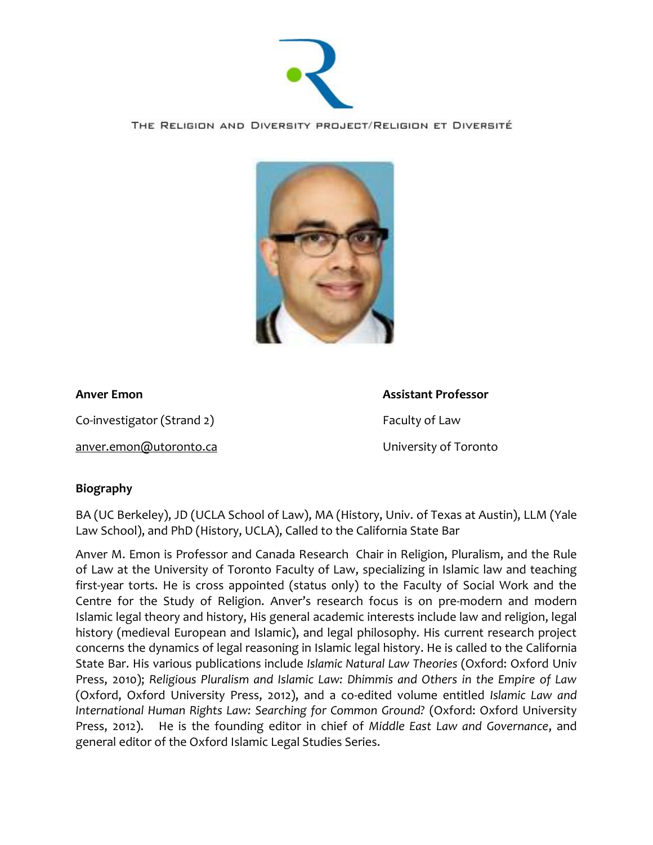

THE RELIGION AND DIVERSITY PROJECT/RELIGION ET DIVERSITÉ



Co-investigator (Strand 2) Faculty of Law

[anver.emon@utoronto.ca](mailto:anver.emon@utoronto.ca) University of Toronto

**Anver Emon Assistant Professor**

# **Biography**

BA (UC Berkeley), JD (UCLA School of Law), MA (History, Univ. of Texas at Austin), LLM (Yale Law School), and PhD (History, UCLA), Called to the California State Bar

Anver M. Emon is Professor and Canada Research Chair in Religion, Pluralism, and the Rule of Law at the University of Toronto Faculty of Law, specializing in Islamic law and teaching first-year torts. He is cross appointed (status only) to the Faculty of Social Work and the Centre for the Study of Religion. Anver's research focus is on pre-modern and modern Islamic legal theory and history, His general academic interests include law and religion, legal history (medieval European and Islamic), and legal philosophy. His current research project concerns the dynamics of legal reasoning in Islamic legal history. He is called to the California State Bar. His various publications include *Islamic Natural Law Theories* (Oxford: Oxford Univ Press, 2010); *Religious Pluralism and Islamic Law: Dhimmis and Others in the Empire of Law*  (Oxford, Oxford University Press, 2012), and a co-edited volume entitled *Islamic Law and International Human Rights Law: Searching for Common Ground?* (Oxford: Oxford University Press, 2012). He is the founding editor in chief of *Middle East Law and Governance*, and general editor of the Oxford Islamic Legal Studies Series.